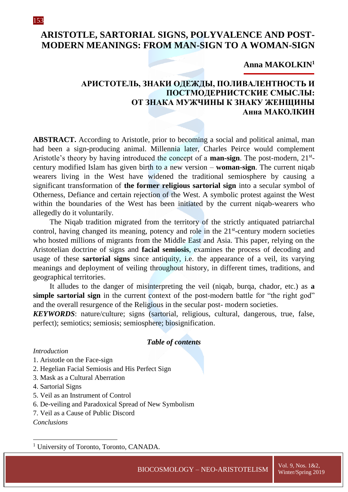# **ARISTOTLE, SARTORIAL SIGNS, POLYVALENCE AND POST-MODERN MEANINGS: FROM MAN-SIGN TO A WOMAN-SIGN**

### **Anna MAKOLKIN<sup>1</sup>**

## **АРИСТОТЕЛЬ, ЗНАКИ ОДЕЖДЫ, ПОЛИВАЛЕНТНОСТЬ И ПОСТМОДЕРНИСТСКИЕ СМЫСЛЫ: ОТ ЗНАКА МУЖЧИНЫ К ЗНАКУ ЖЕНЩИНЫ Анна МАКОЛКИН**

**ABSTRACT.** According to Aristotle, prior to becoming a social and political animal, man had been a sign-producing animal. Millennia later, Charles Peirce would complement Aristotle's theory by having introduced the concept of a **man-sign**. The post-modern, 21<sup>st</sup>century modified Islam has given birth to a new version – **woman-sign**. The current niqab wearers living in the West have widened the traditional semiosphere by causing a significant transformation of **the former religious sartorial sign** into a secular symbol of Otherness, Defiance and certain rejection of the West. A symbolic protest against the West within the boundaries of the West has been initiated by the current niqab-wearers who allegedly do it voluntarily.

The Niqab tradition migrated from the territory of the strictly antiquated patriarchal control, having changed its meaning, potency and role in the 21<sup>st</sup>-century modern societies who hosted millions of migrants from the Middle East and Asia. This paper, relying on the Aristotelian doctrine of signs and **facial semiosis**, examines the process of decoding and usage of these **sartorial signs** since antiquity, i.e. the appearance of a veil, its varying meanings and deployment of veiling throughout history, in different times, traditions, and geographical territories.

It alludes to the danger of misinterpreting the veil (niqab, burqa, chador, etc.) as **a simple sartorial sign** in the current context of the post-modern battle for "the right god" and the overall resurgence of the Religious in the secular post- modern societies.

*KEYWORDS*: nature/culture; signs (sartorial, religious, cultural, dangerous, true, false, perfect); semiotics; semiosis; semiosphere; biosignification.

#### *Table of contents*

#### *Introduction*

- 1. Aristotle on the Face-sign
- 2. Hegelian Facial Semiosis and His Perfect Sign
- 3. Mask as a Cultural Aberration
- 4. Sartorial Signs
- 5. Veil as an Instrument of Control
- 6. De-veiling and Paradoxical Spread of New Symbolism
- 7. Veil as a Cause of Public Discord

*Conclusions*

1

<sup>&</sup>lt;sup>1</sup> University of Toronto, Toronto, CANADA.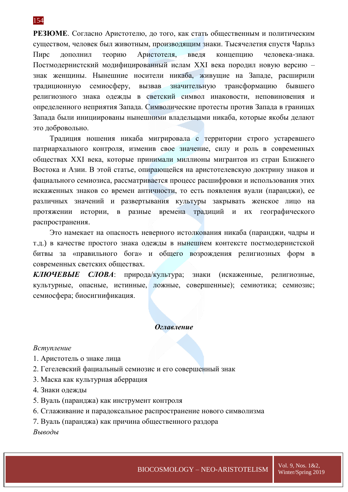154

**РЕЗЮМЕ**. Согласно Аристотелю, до того, как стать общественным и политическим существом, человек был животным, производящим знаки. Тысячелетия спустя Чарльз Пирс дополнил теорию Аристотеля, введя концепцию человека-знака. Постмодернистский модифицированный ислам XXI века породил новую версию – знак женщины. Нынешние носители никаба, живущие на Западе, расширили традиционную семиосферу, вызвав значительную трансформацию бывшего религиозного знака одежды в светский символ инаковости, неповиновения и определенного неприятия Запада. Символические протесты против Запада в границах Запада были инициированы нынешними владельцами никаба, которые якобы делают это добровольно.

Традиция ношения никаба мигрировала с территории строго устаревшего патриархального контроля, изменив свое значение, силу и роль в современных обществах XXI века, которые принимали миллионы мигрантов из стран Ближнего Востока и Азии. В этой статье, опирающейся на аристотелевскую доктрину знаков и фациального семиозиса, рассматривается процесс расшифровки и использования этих искаженных знаков со времен античности, то есть появления вуали (паранджи), ее различных значений и развертывания культуры закрывать женское лицо на протяжении истории, в разные времена традиций и их географического распространения.

Это намекает на опасность неверного истолкования никаба (паранджи, чадры и т.д.) в качестве простого знака одежды в нынешнем контексте постмодернистской битвы за «правильного бога» и общего возрождения религиозных форм в современных светских обществах.

*КЛЮЧЕВЫЕ СЛОВА*: природа/культура; знаки (искаженные, религиозные, культурные, опасные, истинные, ложные, совершенные); семиотика; семиозис; семиосфера; биосигнификация.

#### *Оглавление*

#### *Вступление*

- 1. Аристотель о знаке лица
- 2. Гегелевский фациальный семиозис и его совершенный знак
- 3. Маска как культурная аберрация
- 4. Знаки одежды
- 5. Вуаль (паранджа) как инструмент контроля
- 6. Сглаживание и парадоксальное распространение нового символизма
- 7. Вуаль (паранджа) как причина общественного раздора

#### *Выводы*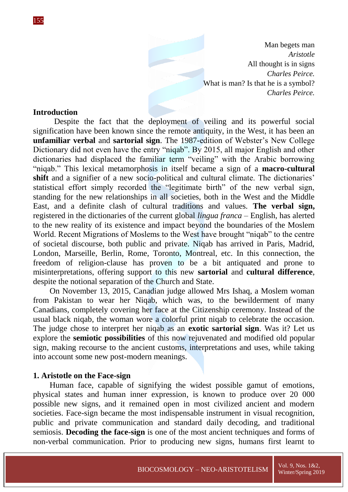Man begets man *Aristotle* All thought is in signs *Charles Peirce.* What is man? Is that he is a symbol? *Charles Peirce.*

### **Introduction**

Despite the fact that the deployment of veiling and its powerful social signification have been known since the remote antiquity, in the West, it has been an **unfamiliar verbal** and **sartorial sign**. The 1987-edition of Webster's New College Dictionary did not even have the entry "niqab". By 2015, all major English and other dictionaries had displaced the familiar term "veiling" with the Arabic borrowing "niqab." This lexical metamorphosis in itself became a sign of a **macro-cultural**  shift and a signifier of a new socio-political and cultural climate. The dictionaries' statistical effort simply recorded the "legitimate birth" of the new verbal sign, standing for the new relationships in all societies, both in the West and the Middle East, and a definite clash of cultural traditions and values. **The verbal sign,** registered in the dictionaries of the current global *lingua franca* – English, has alerted to the new reality of its existence and impact beyond the boundaries of the Moslem World. Recent Migrations of Moslems to the West have brought "niqab" to the centre of societal discourse, both public and private. Niqab has arrived in Paris, Madrid, London, Marseille, Berlin, Rome, Toronto, Montreal, etc. In this connection, the freedom of religion-clause has proven to be a bit antiquated and prone to misinterpretations, offering support to this new **sartorial** and **cultural difference**, despite the notional separation of the Church and State.

On November 13, 2015, Canadian judge allowed Mrs Ishaq, a Moslem woman from Pakistan to wear her Niqab, which was, to the bewilderment of many Canadians, completely covering her face at the Citizenship ceremony. Instead of the usual black niqab, the woman wore a colorful print niqab to celebrate the occasion. The judge chose to interpret her niqab as an **exotic sartorial sign**. Was it? Let us explore the **semiotic possibilities** of this now rejuvenated and modified old popular sign, making recourse to the ancient customs, interpretations and uses, while taking into account some new post-modern meanings.

### **1. Aristotle on the Face-sign**

Human face, capable of signifying the widest possible gamut of emotions, physical states and human inner expression, is known to produce over 20 000 possible new signs, and it remained open in most civilized ancient and modern societies. Face-sign became the most indispensable instrument in visual recognition, public and private communication and standard daily decoding, and traditional semiosis. **Decoding the face-sign** is one of the most ancient techniques and forms of non-verbal communication. Prior to producing new signs, humans first learnt to

155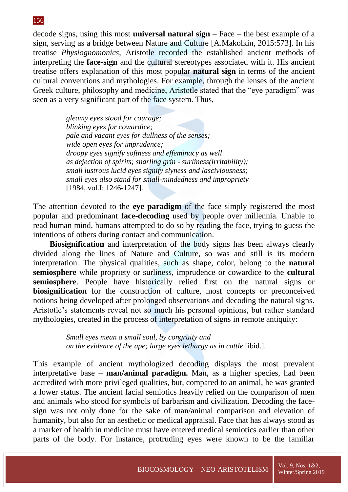decode signs, using this most **universal natural sign** – Face – the best example of a sign, serving as a bridge between Nature and Culture [A.Makolkin, 2015:573]. In his treatise *Physiognomonics*, Aristotle recorded the established ancient methods of interpreting the **face-sign** and the cultural stereotypes associated with it. His ancient treatise offers explanation of this most popular **natural sign** in terms of the ancient cultural conventions and mythologies. For example, through the lenses of the ancient Greek culture, philosophy and medicine, Aristotle stated that the "eye paradigm" was seen as a very significant part of the face system. Thus,

> *gleamy eyes stood for courage; blinking eyes for cowardice; pale and vacant eyes for dullness of the senses; wide open eyes for imprudence; droopy eyes signify softness and effeminacy as well as dejection of spirits; snarling grin - surliness(irritability); small lustrous lucid eyes signify slyness and lasciviousness; small eyes also stand for small-mindedness and impropriety*  [1984, vol.I: 1246-1247].

The attention devoted to the **eye paradigm** of the face simply registered the most popular and predominant **face-decoding** used by people over millennia. Unable to read human mind, humans attempted to do so by reading the face, trying to guess the intentions of others during contact and communication.

**Biosignification** and interpretation of the body signs has been always clearly divided along the lines of Nature and Culture, so was and still is its modern interpretation. The physical qualities, such as shape, color, belong to the **natural semiosphere** while propriety or surliness, imprudence or cowardice to the **cultural semiosphere**. People have historically relied first on the natural signs or **biosignification** for the construction of culture, most concepts or preconceived notions being developed after prolonged observations and decoding the natural signs. Aristotle's statements reveal not so much his personal opinions, but rather standard mythologies, created in the process of interpretation of signs in remote antiquity:

> *Small eyes mean a small soul, by congruity and on the evidence of the ape; large eyes lethargy as in cattle [ibid.].*

This example of ancient mythologized decoding displays the most prevalent interpretative base – **man/animal paradigm.** Man, as a higher species, had been accredited with more privileged qualities, but, compared to an animal, he was granted a lower status. The ancient facial semiotics heavily relied on the comparison of men and animals who stood for symbols of barbarism and civilization. Decoding the facesign was not only done for the sake of man/animal comparison and elevation of humanity, but also for an aesthetic or medical appraisal. Face that has always stood as a marker of health in medicine must have entered medical semiotics earlier than other parts of the body. For instance, protruding eyes were known to be the familiar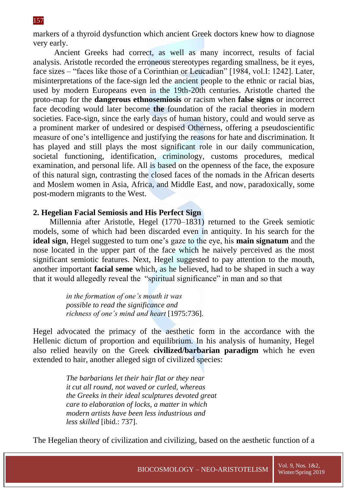markers of a thyroid dysfunction which ancient Greek doctors knew how to diagnose very early.

Ancient Greeks had correct, as well as many incorrect, results of facial analysis. Aristotle recorded the erroneous stereotypes regarding smallness, be it eyes, face sizes – "faces like those of a Corinthian or Leucadian" [1984, vol.I: 1242]. Later, misinterpretations of the face-sign led the ancient people to the ethnic or racial bias, used by modern Europeans even in the 19th-20th centuries. Aristotle charted the proto-map for the **dangerous ethnosemiosis** or racism when **false signs** or incorrect face decoding would later become **the** foundation of the racial theories in modern societies. Face-sign, since the early days of human history, could and would serve as a prominent marker of undesired or despised Otherness, offering a pseudoscientific measure of one's intelligence and justifying the reasons for hate and discrimination. It has played and still plays the most significant role in our daily communication, societal functioning, identification, criminology, customs procedures, medical examination, and personal life. All is based on the openness of the face, the exposure of this natural sign, contrasting the closed faces of the nomads in the African deserts and Moslem women in Asia, Africa, and Middle East, and now, paradoxically, some post-modern migrants to the West.

### **2. Hegelian Facial Semiosis and His Perfect Sign**

Millennia after Aristotle, Hegel (1770–1831) returned to the Greek semiotic models, some of which had been discarded even in antiquity. In his search for the **ideal sign**, Hegel suggested to turn one's gaze to the eye, his **main signatum** and the nose located in the upper part of the face which he naively perceived as the most significant semiotic features. Next, Hegel suggested to pay attention to the mouth, another important **facial seme** which, as he believed, had to be shaped in such a way that it would allegedly reveal the "spiritual significance" in man and so that

> *in the formation of one's mouth it was possible to read the significance and richness of one's mind and heart* [1975:736].

Hegel advocated the primacy of the aesthetic form in the accordance with the Hellenic dictum of proportion and equilibrium. In his analysis of humanity, Hegel also relied heavily on the Greek **civilized/barbarian paradigm** which he even extended to hair, another alleged sign of civilized species:

> *The barbarians let their hair flat or they near it cut all round, not waved or curled, whereas the Greeks in their ideal sculptures devoted great care to elaboration of locks, a matter in which modern artists have been less industrious and less skilled* [ibid.: 737].

The Hegelian theory of civilization and civilizing, based on the aesthetic function of a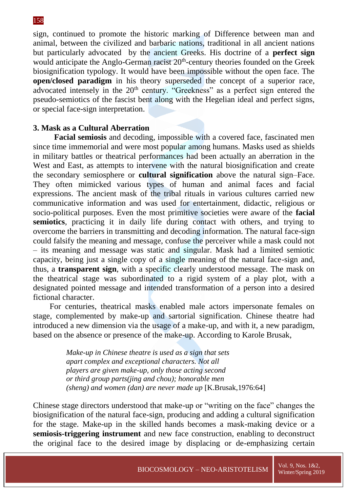sign, continued to promote the historic marking of Difference between man and animal, between the civilized and barbaric nations, traditional in all ancient nations but particularly advocated by the ancient Greeks. His doctrine of a **perfect sign** would anticipate the Anglo-German racist 20<sup>th</sup>-century theories founded on the Greek biosignification typology. It would have been impossible without the open face. The **open/closed paradigm** in his theory superseded the concept of a superior race, advocated intensely in the 20<sup>th</sup> century. "Greekness" as a perfect sign entered the pseudo-semiotics of the fascist bent along with the Hegelian ideal and perfect signs, or special face-sign interpretation.

## **3. Mask as a Cultural Aberration**

**Facial semiosis** and decoding, impossible with a covered face, fascinated men since time immemorial and were most popular among humans. Masks used as shields in military battles or theatrical performances had been actually an aberration in the West and East, as attempts to intervene with the natural biosignification and create the secondary semiosphere or **cultural signification** above the natural sign–Face. They often mimicked various types of human and animal faces and facial expressions. The ancient mask of the tribal rituals in various cultures carried new communicative information and was used for entertainment, didactic, religious or socio-political purposes. Even the most primitive societies were aware of the **facial semiotics**, practicing it in daily life during contact with others, and trying to overcome the barriers in transmitting and decoding information. The natural face-sign could falsify the meaning and message, confuse the perceiver while a mask could not – its meaning and message was static and singular. Mask had a limited semiotic capacity, being just a single copy of a single meaning of the natural face-sign and, thus, a **transparent sign**, with a specific clearly understood message. The mask on the theatrical stage was subordinated to a rigid system of a play plot, with a designated pointed message and intended transformation of a person into a desired fictional character.

For centuries, theatrical masks enabled male actors impersonate females on stage, complemented by make-up and sartorial signification. Chinese theatre had introduced a new dimension via the usage of a make-up, and with it, a new paradigm, based on the absence or presence of the make-up. According to Karole Brusak,

> *Make-up in Chinese theatre is used as a sign that sets apart complex and exceptional characters. Not all players are given make-up, only those acting second or third group parts(jing and chou); honorable men (sheng) and women (dan) are never made up* [K.Brusak,1976:64]

Chinese stage directors understood that make-up or "writing on the face" changes the biosignification of the natural face-sign, producing and adding a cultural signification for the stage. Make-up in the skilled hands becomes a mask-making device or a **semiosis-triggering instrument** and new face construction, enabling to deconstruct the original face to the desired image by displacing or de-emphasizing certain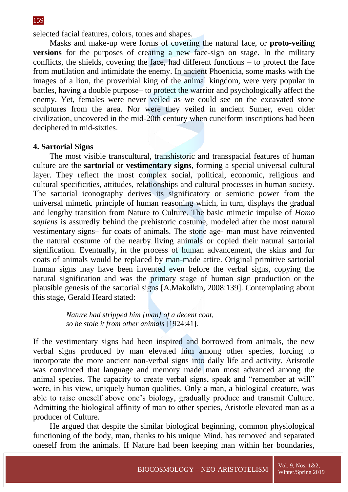selected facial features, colors, tones and shapes.

Masks and make-up were forms of covering the natural face, or **proto-veiling versions** for the purposes of creating a new face-sign on stage. In the military conflicts, the shields, covering the face, had different functions  $-$  to protect the face from mutilation and intimidate the enemy. In ancient Phoenicia, some masks with the images of a lion, the proverbial king of the animal kingdom, were very popular in battles, having a double purpose– to protect the warrior and psychologically affect the enemy. Yet, females were never veiled as we could see on the excavated stone sculptures from the area. Nor were they veiled in ancient Sumer, even older civilization, uncovered in the mid-20th century when cuneiform inscriptions had been deciphered in mid-sixties.

### **4. Sartorial Signs**

The most visible transcultural, transhistoric and transspacial features of human culture are the **sartorial** or **vestimentary signs**, forming a special universal cultural layer. They reflect the most complex social, political, economic, religious and cultural specificities, attitudes, relationships and cultural processes in human society. The sartorial iconography derives its significatory or semiotic power from the universal mimetic principle of human reasoning which, in turn, displays the gradual and lengthy transition from Nature to Culture. The basic mimetic impulse of *Homo sapiens* is assuredly behind the prehistoric costume, modeled after the most natural vestimentary signs– fur coats of animals. The stone age- man must have reinvented the natural costume of the nearby living animals or copied their natural sartorial signification. Eventually, in the process of human advancement, the skins and fur coats of animals would be replaced by man-made attire. Original primitive sartorial human signs may have been invented even before the verbal signs, copying the natural signification and was the primary stage of human sign production or the plausible genesis of the sartorial signs [A.Makolkin, 2008:139]. Contemplating about this stage, Gerald Heard stated:

> *Nature had stripped him [man] of a decent coat, so he stole it from other animals* [1924:41].

If the vestimentary signs had been inspired and borrowed from animals, the new verbal signs produced by man elevated him among other species, forcing to incorporate the more ancient non-verbal signs into daily life and activity. Aristotle was convinced that language and memory made man most advanced among the animal species. The capacity to create verbal signs, speak and "remember at will" were, in his view, uniquely human qualities. Only a man, a biological creature, was able to raise oneself above one's biology, gradually produce and transmit Culture. Admitting the biological affinity of man to other species, Aristotle elevated man as a producer of Culture.

He argued that despite the similar biological beginning, common physiological functioning of the body, man, thanks to his unique Mind, has removed and separated oneself from the animals. If Nature had been keeping man within her boundaries,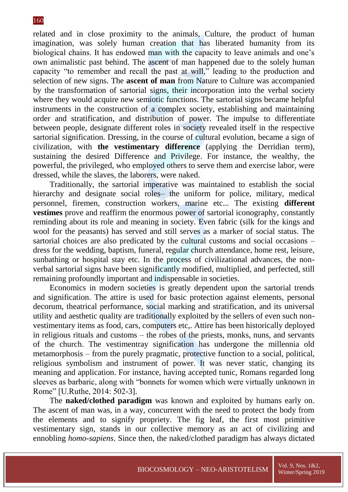related and in close proximity to the animals, Culture, the product of human imagination, was solely human creation that has liberated humanity from its biological chains. It has endowed man with the capacity to leave animals and one's own animalistic past behind. The ascent of man happened due to the solely human capacity "to remember and recall the past at will," leading to the production and selection of new signs. The **ascent of man** from Nature to Culture was accompanied by the transformation of sartorial signs, their incorporation into the verbal society where they would acquire new semiotic functions. The sartorial signs became helpful instruments in the construction of a complex society, establishing and maintaining order and stratification, and distribution of power. The impulse to differentiate between people, designate different roles in society revealed itself in the respective sartorial signification. Dressing, in the course of cultural evolution, became a sign of civilization, with **the vestimentary difference** (applying the Derridian term), sustaining the desired Difference and Privilege. For instance, the wealthy, the powerful, the privileged, who employed others to serve them and exercise labor, were dressed, while the slaves, the laborers, were naked.

Traditionally, the sartorial imperative was maintained to establish the social hierarchy and designate social roles– the uniform for police, military, medical personnel, firemen, construction workers, marine etc... The existing **different vestimes** prove and reaffirm the enormous power of sartorial iconography, constantly reminding about its role and meaning in society. Even fabric (silk for the kings and wool for the peasants) has served and still serves as a marker of social status. The sartorial choices are also predicated by the cultural customs and social occasions – dress for the wedding, baptism, funeral, regular church attendance, home rest, leisure, sunbathing or hospital stay etc. In the process of civilizational advances, the nonverbal sartorial signs have been significantly modified, multiplied, and perfected, still remaining profoundly important and indispensable in societies.

Economics in modern societies is greatly dependent upon the sartorial trends and signification. The attire is used for basic protection against elements, personal decorum, theatrical performance, social marking and stratification, and its universal utility and aesthetic quality are traditionally exploited by the sellers of even such nonvestimentary items as food, cars, computers etc,. Attire has been historically deployed in religious rituals and customs – the robes of the priests, monks, nuns, and servants of the church. The vestimentray signification has undergone the millennia old metamorphosis – from the purely pragmatic, protective function to a social, political, religious symbolism and instrument of power. It was never static, changing its meaning and application. For instance, having accepted tunic, Romans regarded long sleeves as barbaric, along with "bonnets for women which were virtually unknown in Rome" [U.Ruthe, 2014: 502-3].

The **naked/clothed paradigm** was known and exploited by humans early on. The ascent of man was, in a way, concurrent with the need to protect the body from the elements and to signify propriety. The fig leaf, the first most primitive vestimentary sign, stands in our collective memory as an act of civilizing and ennobling *homo-sapiens*. Since then, the naked/clothed paradigm has always dictated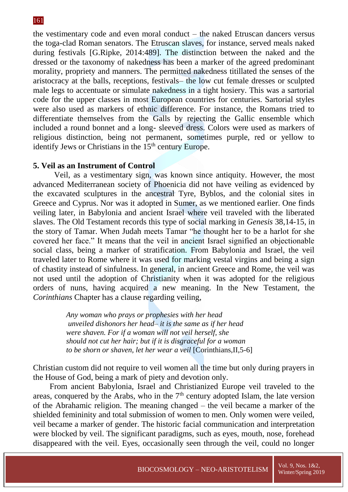the vestimentary code and even moral conduct – the naked Etruscan dancers versus the toga-clad Roman senators. The Etruscan slaves, for instance, served meals naked during festivals [G.Ripke, 2014:489]. The distinction between the naked and the dressed or the taxonomy of nakedness has been a marker of the agreed predominant morality, propriety and manners. The permitted nakedness titillated the senses of the aristocracy at the balls, receptions, festivals– the low cut female dresses or sculpted male legs to accentuate or simulate nakedness in a tight hosiery. This was a sartorial code for the upper classes in most European countries for centuries. Sartorial styles were also used as markers of ethnic difference. For instance, the Romans tried to differentiate themselves from the Galls by rejecting the Gallic ensemble which included a round bonnet and a long- sleeved dress. Colors were used as markers of religious distinction, being not permanent, sometimes purple, red or yellow to identify Jews or Christians in the  $15<sup>th</sup>$  century Europe.

## **5. Veil as an Instrument of Control**

Veil, as a vestimentary sign, was known since antiquity. However, the most advanced Mediterranean society of Phoenicia did not have veiling as evidenced by the excavated sculptures in the ancestral Tyre, Byblos, and the colonial sites in Greece and Cyprus. Nor was it adopted in Sumer, as we mentioned earlier. One finds veiling later, in Babylonia and ancient Israel where veil traveled with the liberated slaves. The Old Testament records this type of social marking in *Genesis* 38,14-15, in the story of Tamar. When Judah meets Tamar "he thought her to be a harlot for she covered her face." It means that the veil in ancient Israel signified an objectionable social class, being a marker of stratification. From Babylonia and Israel, the veil traveled later to Rome where it was used for marking vestal virgins and being a sign of chastity instead of sinfulness. In general, in ancient Greece and Rome, the veil was not used until the adoption of Christianity when it was adopted for the religious orders of nuns, having acquired a new meaning. In the New Testament, the *Corinthians* Chapter has a clause regarding veiling,

> *Any woman who prays or prophesies with her head unveiled dishonors her head– it is the same as if her head were shaven. For if a woman will not veil herself, she should not cut her hair; but if it is disgraceful for a woman to be shorn or shaven, let her wear a veil* [Corinthians,II,5-6]

Christian custom did not require to veil women all the time but only during prayers in the House of God, being a mark of piety and devotion only.

From ancient Babylonia, Israel and Christianized Europe veil traveled to the areas, conquered by the Arabs, who in the  $7<sup>th</sup>$  century adopted Islam, the late version of the Abrahamic religion. The meaning changed – the veil became a marker of the shielded femininity and total submission of women to men. Only women were veiled, veil became a marker of gender. The historic facial communication and interpretation were blocked by veil. The significant paradigms, such as eyes, mouth, nose, forehead disappeared with the veil. Eyes, occasionally seen through the veil, could no longer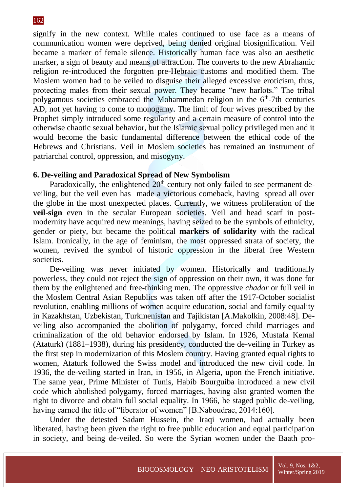signify in the new context. While males continued to use face as a means of communication women were deprived, being denied original biosignification. Veil became a marker of female silence. Historically human face was also an aesthetic marker, a sign of beauty and means of attraction. The converts to the new Abrahamic religion re-introduced the forgotten pre-Hebraic customs and modified them. The Moslem women had to be veiled to disguise their alleged excessive eroticism, thus, protecting males from their sexual power. They became "new harlots." The tribal polygamous societies embraced the Mohammedan religion in the  $6<sup>th</sup>$ -7th centuries AD, not yet having to come to monogamy. The limit of four wives prescribed by the Prophet simply introduced some regularity and a certain measure of control into the otherwise chaotic sexual behavior, but the Islamic sexual policy privileged men and it would become the basic fundamental difference between the ethical code of the Hebrews and Christians. Veil in Moslem societies has remained an instrument of patriarchal control, oppression, and misogyny.

## **6. De-veiling and Paradoxical Spread of New Symbolism**

Paradoxically, the enlightened  $20<sup>th</sup>$  century not only failed to see permanent deveiling, but the veil even has made a victorious comeback, having spread all over the globe in the most unexpected places. Currently, we witness proliferation of the **veil-sign** even in the secular European societies. Veil and head scarf in postmodernity have acquired new meanings, having seized to be the symbols of ethnicity, gender or piety, but became the political **markers of solidarity** with the radical Islam. Ironically, in the age of feminism, the most oppressed strata of society, the women, revived the symbol of historic oppression in the liberal free Western societies.

De-veiling was never initiated by women. Historically and traditionally powerless, they could not reject the sign of oppression on their own, it was done for them by the enlightened and free-thinking men. The oppressive *chador* or full veil in the Moslem Central Asian Republics was taken off after the 1917-October socialist revolution, enabling millions of women acquire education, social and family equality in Kazakhstan, Uzbekistan, Turkmenistan and Tajikistan [A.Makolkin, 2008:48]. Deveiling also accompanied the abolition of polygamy, forced child marriages and criminalization of the old behavior endorsed by Islam. In 1926, Mustafa Kemal (Ataturk) (1881–1938), during his presidency, conducted the de-veiling in Turkey as the first step in modernization of this Moslem country. Having granted equal rights to women, Ataturk followed the Swiss model and introduced the new civil code. In 1936, the de-veiling started in Iran, in 1956, in Algeria, upon the French initiative. The same year, Prime Minister of Tunis, Habib Bourguiba introduced a new civil code which abolished polygamy, forced marriages, having also granted women the right to divorce and obtain full social equality. In 1966, he staged public de-veiling, having earned the title of "liberator of women" [B.Naboudrae, 2014:160].

Under the detested Sadam Hussein, the Iraqi women, had actually been liberated, having been given the right to free public education and equal participation in society, and being de-veiled. So were the Syrian women under the Baath pro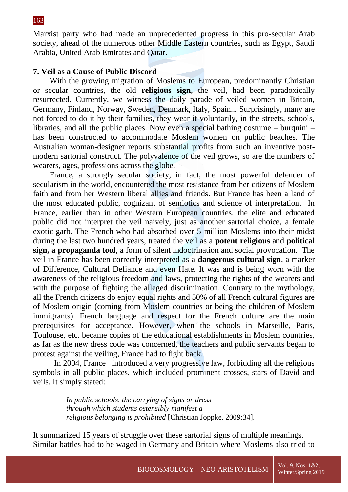Marxist party who had made an unprecedented progress in this pro-secular Arab society, ahead of the numerous other Middle Eastern countries, such as Egypt, Saudi Arabia, United Arab Emirates and Qatar.

## **7. Veil as a Cause of Public Discord**

With the growing migration of Moslems to European, predominantly Christian or secular countries, the old **religious sign**, the veil, had been paradoxically resurrected. Currently, we witness the daily parade of veiled women in Britain, Germany, Finland, Norway, Sweden, Denmark, Italy, Spain... Surprisingly, many are not forced to do it by their families, they wear it voluntarily, in the streets, schools, libraries, and all the public places. Now even a special bathing costume – burquini – has been constructed to accommodate Moslem women on public beaches. The Australian woman-designer reports substantial profits from such an inventive postmodern sartorial construct. The polyvalence of the veil grows, so are the numbers of wearers, ages, professions across the globe.

France, a strongly secular society, in fact, the most powerful defender of secularism in the world, encountered the most resistance from her citizens of Moslem faith and from her Western liberal allies and friends. But France has been a land of the most educated public, cognizant of semiotics and science of interpretation. In France, earlier than in other Western European countries, the elite and educated public did not interpret the veil naively, just as another sartorial choice, a female exotic garb. The French who had absorbed over 5 million Moslems into their midst during the last two hundred years, treated the veil as a **potent religious** and **political sign, a propaganda tool**, a form of silent indoctrination and social provocation. The veil in France has been correctly interpreted as a **dangerous cultural sign**, a marker of Difference, Cultural Defiance and even Hate. It was and is being worn with the awareness of the religious freedom and laws, protecting the rights of the wearers and with the purpose of fighting the alleged discrimination. Contrary to the mythology, all the French citizens do enjoy equal rights and 50% of all French cultural figures are of Moslem origin (coming from Moslem countries or being the children of Moslem immigrants). French language and respect for the French culture are the main prerequisites for acceptance. However, when the schools in Marseille, Paris, Toulouse, etc. became copies of the educational establishments in Moslem countries, as far as the new dress code was concerned, the teachers and public servants began to protest against the veiling, France had to fight back.

In 2004, France introduced a very progressive law, forbidding all the religious symbols in all public places, which included prominent crosses, stars of David and veils. It simply stated:

> *In public schools, the carrying of signs or dress through which students ostensibly manifest a religious belonging is prohibited* [Christian Joppke, 2009:34].

It summarized 15 years of struggle over these sartorial signs of multiple meanings. Similar battles had to be waged in Germany and Britain where Moslems also tried to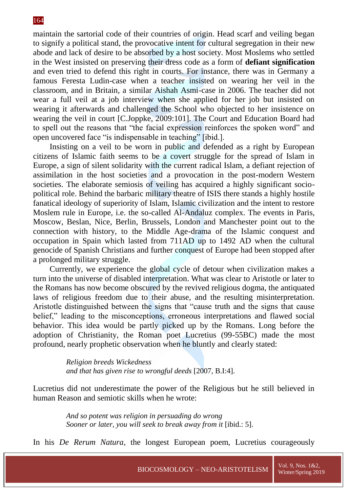maintain the sartorial code of their countries of origin. Head scarf and veiling began to signify a political stand, the provocative intent for cultural segregation in their new abode and lack of desire to be absorbed by a host society. Most Moslems who settled in the West insisted on preserving their dress code as a form of **defiant signification** and even tried to defend this right in courts. For instance, there was in Germany a famous Feresta Ludin-case when a teacher insisted on wearing her veil in the classroom, and in Britain, a similar Aishah Asmi-case in 2006. The teacher did not wear a full veil at a job interview when she applied for her job but insisted on wearing it afterwards and challenged the School who objected to her insistence on wearing the veil in court [C.Joppke, 2009:101]. The Court and Education Board had to spell out the reasons that "the facial expression reinforces the spoken word" and open uncovered face "is indispensable in teaching" [ibid.].

Insisting on a veil to be worn in public and defended as a right by European citizens of Islamic faith seems to be a covert struggle for the spread of Islam in Europe, a sign of silent solidarity with the current radical Islam, a defiant rejection of assimilation in the host societies and a provocation in the post-modern Western societies. The elaborate semiosis of veiling has acquired a highly significant sociopolitical role. Behind the barbaric military theatre of ISIS there stands a highly hostile fanatical ideology of superiority of Islam, Islamic civilization and the intent to restore Moslem rule in Europe, i.e. the so-called Al-Andaluz complex. The events in Paris, Moscow, Beslan, Nice, Berlin, Brussels, London and Manchester point out to the connection with history, to the Middle Age-drama of the Islamic conquest and occupation in Spain which lasted from 711AD up to 1492 AD when the cultural genocide of Spanish Christians and further conquest of Europe had been stopped after a prolonged military struggle.

Currently, we experience the global cycle of detour when civilization makes a turn into the universe of disabled interpretation. What was clear to Aristotle or later to the Romans has now become obscured by the revived religious dogma, the antiquated laws of religious freedom due to their abuse, and the resulting misinterpretation. Aristotle distinguished between the signs that "cause truth and the signs that cause belief," leading to the misconceptions, erroneous interpretations and flawed social behavior. This idea would be partly picked up by the Romans. Long before the adoption of Christianity, the Roman poet Lucretius (99-55BC) made the most profound, nearly prophetic observation when he bluntly and clearly stated:

> *Religion breeds Wickedness and that has given rise to wrongful deeds* [2007, B.I:4].

Lucretius did not underestimate the power of the Religious but he still believed in human Reason and semiotic skills when he wrote:

> *And so potent was religion in persuading do wrong Sooner or later, you will seek to break away from it* [ibid.: 5].

In his *De Rerum Natura*, the longest European poem, Lucretius courageously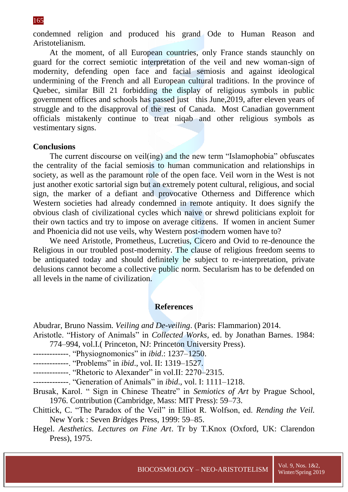condemned religion and produced his grand Ode to Human Reason and Aristotelianism.

At the moment, of all European countries, only France stands staunchly on guard for the correct semiotic interpretation of the veil and new woman-sign of modernity, defending open face and facial semiosis and against ideological undermining of the French and all European cultural traditions. In the province of Quebec, similar Bill 21 forbidding the display of religious symbols in public government offices and schools has passed just this June,2019, after eleven years of struggle and to the disapproval of the rest of Canada. Most Canadian government officials mistakenly continue to treat niqab and other religious symbols as vestimentary signs.

### **Conclusions**

The current discourse on veil(ing) and the new term "Islamophobia" obfuscates the centrality of the facial semiosis to human communication and relationships in society, as well as the paramount role of the open face. Veil worn in the West is not just another exotic sartorial sign but an extremely potent cultural, religious, and social sign, the marker of a defiant and provocative Otherness and Difference which Western societies had already condemned in remote antiquity. It does signify the obvious clash of civilizational cycles which naive or shrewd politicians exploit for their own tactics and try to impose on average citizens. If women in ancient Sumer and Phoenicia did not use veils, why Western post-modern women have to?

We need Aristotle, Prometheus, Lucretius, Cicero and Ovid to re-denounce the Religious in our troubled post-modernity. The clause of religious freedom seems to be antiquated today and should definitely be subject to re-interpretation, private delusions cannot become a collective public norm. Secularism has to be defended on all levels in the name of civilization.

### **References**

Abudrar, Bruno Nassim. *Veiling and De-veiling*. (Paris: Flammarion) 2014.

- Aristotle. "History of Animals" in *Collected Works*, ed. by Jonathan Barnes. 1984: 774–994, vol.I.( Princeton, NJ: Princeton University Press).
- -------------. "Physiognomonics" in *ibid*.: 1237–1250.
- -------------. "Problems" in *ibid*., vol. II: 1319–1527.
- -------------. "Rhetoric to Alexander" in vol.II: 2270–2315.
- -------------. "Generation of Animals" in *ibid*., vol. I: 1111–1218.
- Brusak, Karol. " Sign in Chinese Theatre" in *Semiotics of Art* by Prague School, 1976. Contribution (Cambridge, Mass: MIT Press): 59–73.
- Chittick, C. "The Paradox of the Veil" in Elliot R. Wolfson, ed. *Rending the Veil.*  New York : Seven *Bri*dges Press, 1999: 59–85.
- Hegel. *Aesthetics. Lectures on Fine Art*. Tr by T.Knox (Oxford, UK: Clarendon Press), 1975.